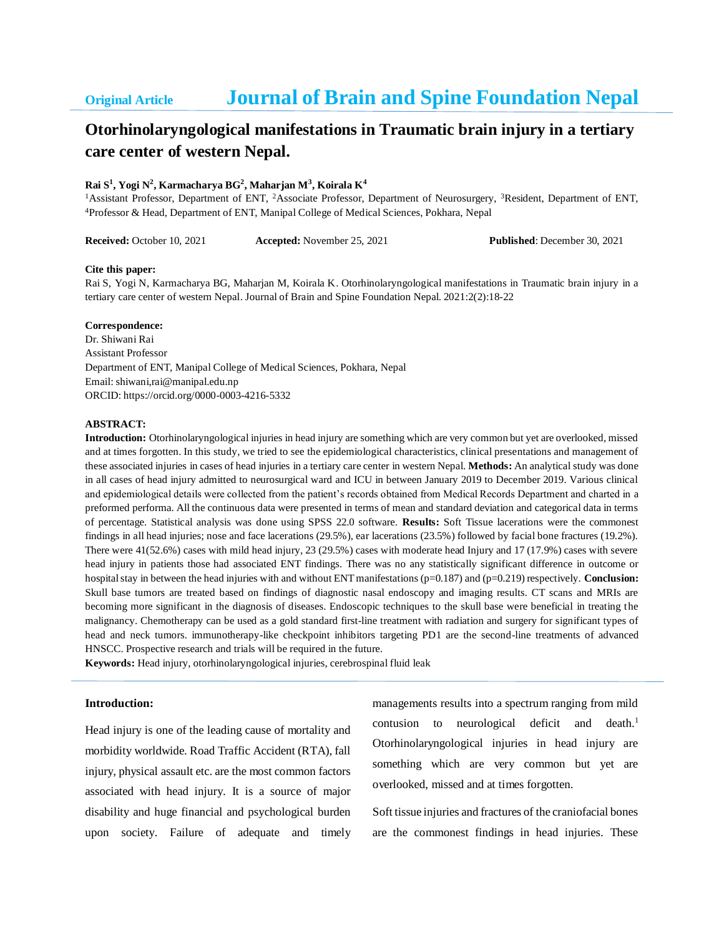# **Original Article Journal of Brain and Spine Foundation Nepal**

## **Otorhinolaryngological manifestations in Traumatic brain injury in a tertiary care center of western Nepal.**

#### **Rai S<sup>1</sup> , Yogi N<sup>2</sup> , Karmacharya BG<sup>2</sup> , Maharjan M<sup>3</sup> , Koirala K<sup>4</sup>**

<sup>1</sup>Assistant Professor, Department of ENT, <sup>2</sup>Associate Professor, Department of Neurosurgery, <sup>3</sup>Resident, Department of ENT, <sup>4</sup>Professor & Head, Department of ENT, Manipal College of Medical Sciences, Pokhara, Nepal

**Received:** October 10, 2021 **Accepted:** November 25, 2021 **Published**: December 30, 2021

#### **Cite this paper:**

Rai S, Yogi N, Karmacharya BG, Maharjan M, Koirala K. Otorhinolaryngological manifestations in Traumatic brain injury in a tertiary care center of western Nepal. Journal of Brain and Spine Foundation Nepal. 2021:2(2):18-22

#### **Correspondence:**

Dr. Shiwani Rai Assistant Professor Department of ENT, Manipal College of Medical Sciences, Pokhara, Nepal Email: shiwani,rai@manipal.edu.np ORCID: https://orcid.org/0000-0003-4216-5332

#### **ABSTRACT:**

**Introduction:** Otorhinolaryngological injuries in head injury are something which are very common but yet are overlooked, missed and at times forgotten. In this study, we tried to see the epidemiological characteristics, clinical presentations and management of these associated injuries in cases of head injuries in a tertiary care center in western Nepal. **Methods:** An analytical study was done in all cases of head injury admitted to neurosurgical ward and ICU in between January 2019 to December 2019. Various clinical and epidemiological details were collected from the patient's records obtained from Medical Records Department and charted in a preformed performa. All the continuous data were presented in terms of mean and standard deviation and categorical data in terms of percentage. Statistical analysis was done using SPSS 22.0 software. **Results:** Soft Tissue lacerations were the commonest findings in all head injuries; nose and face lacerations (29.5%), ear lacerations (23.5%) followed by facial bone fractures (19.2%). There were 41(52.6%) cases with mild head injury, 23 (29.5%) cases with moderate head Injury and 17 (17.9%) cases with severe head injury in patients those had associated ENT findings. There was no any statistically significant difference in outcome or hospital stay in between the head injuries with and without ENT manifestations (p=0.187) and (p=0.219) respectively. **Conclusion:** Skull base tumors are treated based on findings of diagnostic nasal endoscopy and imaging results. CT scans and MRIs are becoming more significant in the diagnosis of diseases. Endoscopic techniques to the skull base were beneficial in treating the malignancy. Chemotherapy can be used as a gold standard first-line treatment with radiation and surgery for significant types of head and neck tumors. immunotherapy-like checkpoint inhibitors targeting PD1 are the second-line treatments of advanced HNSCC. Prospective research and trials will be required in the future.

**Keywords:** Head injury, otorhinolaryngological injuries, cerebrospinal fluid leak

## **Introduction:**

Head injury is one of the leading cause of mortality and morbidity worldwide. Road Traffic Accident (RTA), fall injury, physical assault etc. are the most common factors associated with head injury. It is a source of major disability and huge financial and psychological burden upon society. Failure of adequate and timely managements results into a spectrum ranging from mild contusion to neurological deficit and death.<sup>1</sup> Otorhinolaryngological injuries in head injury are something which are very common but yet are overlooked, missed and at times forgotten.

Soft tissue injuries and fractures of the craniofacial bones are the commonest findings in head injuries. These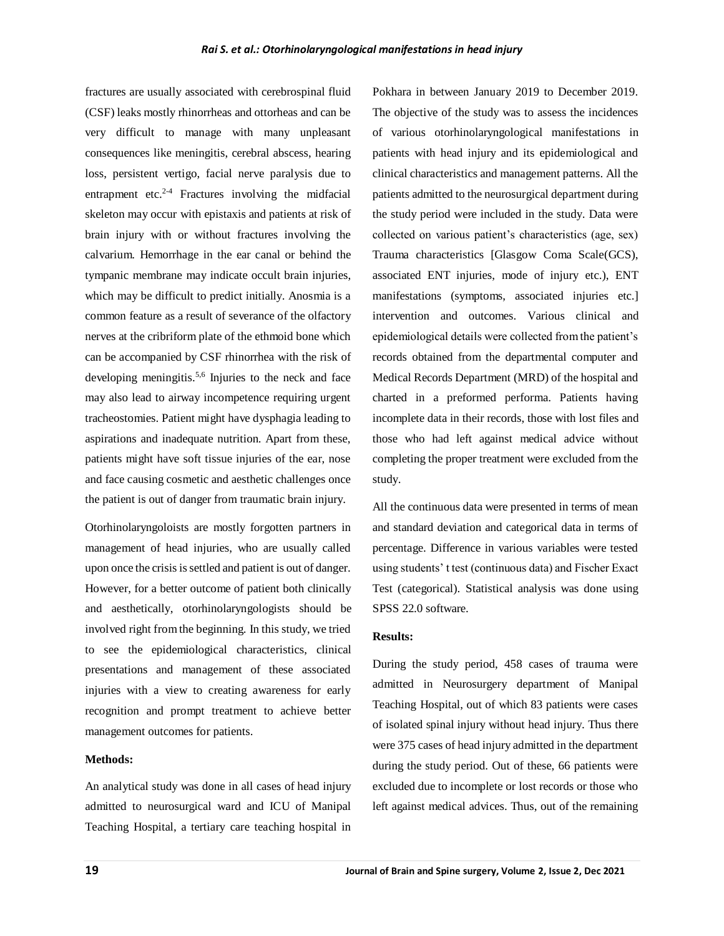fractures are usually associated with cerebrospinal fluid (CSF) leaks mostly rhinorrheas and ottorheas and can be very difficult to manage with many unpleasant consequences like meningitis, cerebral abscess, hearing loss, persistent vertigo, facial nerve paralysis due to entrapment etc. $2-4$  Fractures involving the midfacial skeleton may occur with epistaxis and patients at risk of brain injury with or without fractures involving the calvarium. Hemorrhage in the ear canal or behind the tympanic membrane may indicate occult brain injuries, which may be difficult to predict initially. Anosmia is a common feature as a result of severance of the olfactory nerves at the cribriform plate of the ethmoid bone which can be accompanied by CSF rhinorrhea with the risk of developing meningitis.<sup>5,6</sup> Injuries to the neck and face may also lead to airway incompetence requiring urgent tracheostomies. Patient might have dysphagia leading to aspirations and inadequate nutrition. Apart from these, patients might have soft tissue injuries of the ear, nose and face causing cosmetic and aesthetic challenges once the patient is out of danger from traumatic brain injury.

Otorhinolaryngoloists are mostly forgotten partners in management of head injuries, who are usually called upon once the crisis is settled and patient is out of danger. However, for a better outcome of patient both clinically and aesthetically, otorhinolaryngologists should be involved right from the beginning. In this study, we tried to see the epidemiological characteristics, clinical presentations and management of these associated injuries with a view to creating awareness for early recognition and prompt treatment to achieve better management outcomes for patients.

## **Methods:**

An analytical study was done in all cases of head injury admitted to neurosurgical ward and ICU of Manipal Teaching Hospital, a tertiary care teaching hospital in

Pokhara in between January 2019 to December 2019. The objective of the study was to assess the incidences of various otorhinolaryngological manifestations in patients with head injury and its epidemiological and clinical characteristics and management patterns. All the patients admitted to the neurosurgical department during the study period were included in the study. Data were collected on various patient's characteristics (age, sex) Trauma characteristics [Glasgow Coma Scale(GCS), associated ENT injuries, mode of injury etc.), ENT manifestations (symptoms, associated injuries etc.] intervention and outcomes. Various clinical and epidemiological details were collected from the patient's records obtained from the departmental computer and Medical Records Department (MRD) of the hospital and charted in a preformed performa. Patients having incomplete data in their records, those with lost files and those who had left against medical advice without completing the proper treatment were excluded from the study.

All the continuous data were presented in terms of mean and standard deviation and categorical data in terms of percentage. Difference in various variables were tested using students' t test (continuous data) and Fischer Exact Test (categorical). Statistical analysis was done using SPSS 22.0 software.

## **Results:**

During the study period, 458 cases of trauma were admitted in Neurosurgery department of Manipal Teaching Hospital, out of which 83 patients were cases of isolated spinal injury without head injury. Thus there were 375 cases of head injury admitted in the department during the study period. Out of these, 66 patients were excluded due to incomplete or lost records or those who left against medical advices. Thus, out of the remaining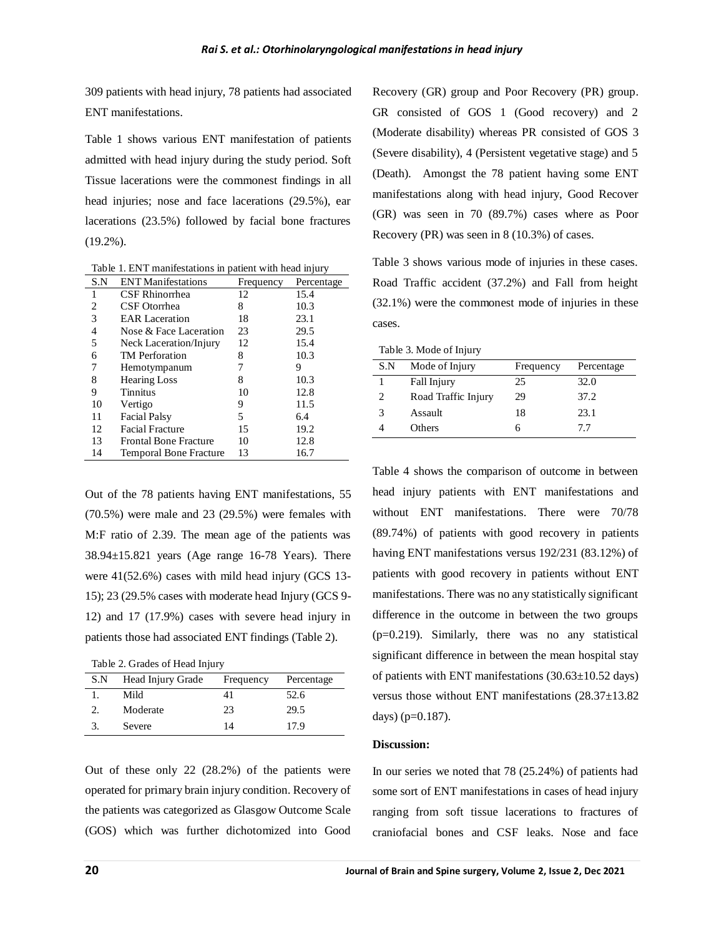309 patients with head injury, 78 patients had associated ENT manifestations.

Table 1 shows various ENT manifestation of patients admitted with head injury during the study period. Soft Tissue lacerations were the commonest findings in all head injuries; nose and face lacerations (29.5%), ear lacerations (23.5%) followed by facial bone fractures (19.2%).

Table 1. ENT manifestations in patient with head injury

| S.N | <b>ENT Manifestations</b>     | Frequency | Percentage |
|-----|-------------------------------|-----------|------------|
| 1   | CSF Rhinorrhea                | 12        | 15.4       |
| 2   | CSF Otorrhea                  | 8         | 10.3       |
| 3   | <b>EAR</b> Laceration         | 18        | 23.1       |
| 4   | Nose & Face Laceration        | 23        | 29.5       |
| 5   | Neck Laceration/Injury        | 12        | 15.4       |
| 6   | <b>TM</b> Perforation         | 8         | 10.3       |
| 7   | Hemotympanum                  |           | 9          |
| 8   | <b>Hearing Loss</b>           | 8         | 10.3       |
| 9   | <b>Tinnitus</b>               | 10        | 12.8       |
| 10  | Vertigo                       | 9         | 11.5       |
| 11  | <b>Facial Palsy</b>           | 5         | 6.4        |
| 12  | <b>Facial Fracture</b>        | 15        | 19.2       |
| 13  | <b>Frontal Bone Fracture</b>  | 10        | 12.8       |
| 14  | <b>Temporal Bone Fracture</b> | 13        | 16.7       |

Out of the 78 patients having ENT manifestations, 55 (70.5%) were male and 23 (29.5%) were females with M:F ratio of 2.39. The mean age of the patients was 38.94±15.821 years (Age range 16-78 Years). There were 41(52.6%) cases with mild head injury (GCS 13- 15); 23 (29.5% cases with moderate head Injury (GCS 9- 12) and 17 (17.9%) cases with severe head injury in patients those had associated ENT findings (Table 2).

Table 2. Grades of Head Injury

| S.N | Head Injury Grade | Frequency | Percentage |
|-----|-------------------|-----------|------------|
|     | Mild              |           | 52.6       |
|     | Moderate          | 23        | 29.5       |
|     | Severe            | 14        | 17.9       |

Out of these only 22 (28.2%) of the patients were operated for primary brain injury condition. Recovery of the patients was categorized as Glasgow Outcome Scale (GOS) which was further dichotomized into Good

Recovery (GR) group and Poor Recovery (PR) group. GR consisted of GOS 1 (Good recovery) and 2 (Moderate disability) whereas PR consisted of GOS 3 (Severe disability), 4 (Persistent vegetative stage) and 5 (Death). Amongst the 78 patient having some ENT manifestations along with head injury, Good Recover (GR) was seen in 70 (89.7%) cases where as Poor Recovery (PR) was seen in 8 (10.3%) of cases.

Table 3 shows various mode of injuries in these cases. Road Traffic accident (37.2%) and Fall from height (32.1%) were the commonest mode of injuries in these cases.

Table 3. Mode of Injury

| S.N | Mode of Injury      | Frequency | Percentage |  |
|-----|---------------------|-----------|------------|--|
|     | Fall Injury         | 25        | 32.0       |  |
| 2   | Road Traffic Injury | 29        | 37.2       |  |
| 3   | Assault             | 18        | 23.1       |  |
|     | Others              |           | 77         |  |
|     |                     |           |            |  |

Table 4 shows the comparison of outcome in between head injury patients with ENT manifestations and without ENT manifestations. There were 70/78 (89.74%) of patients with good recovery in patients having ENT manifestations versus 192/231 (83.12%) of patients with good recovery in patients without ENT manifestations. There was no any statistically significant difference in the outcome in between the two groups (p=0.219). Similarly, there was no any statistical significant difference in between the mean hospital stay of patients with ENT manifestations  $(30.63 \pm 10.52 \text{ days})$ versus those without ENT manifestations (28.37±13.82 days) (p=0.187).

## **Discussion:**

In our series we noted that 78 (25.24%) of patients had some sort of ENT manifestations in cases of head injury ranging from soft tissue lacerations to fractures of craniofacial bones and CSF leaks. Nose and face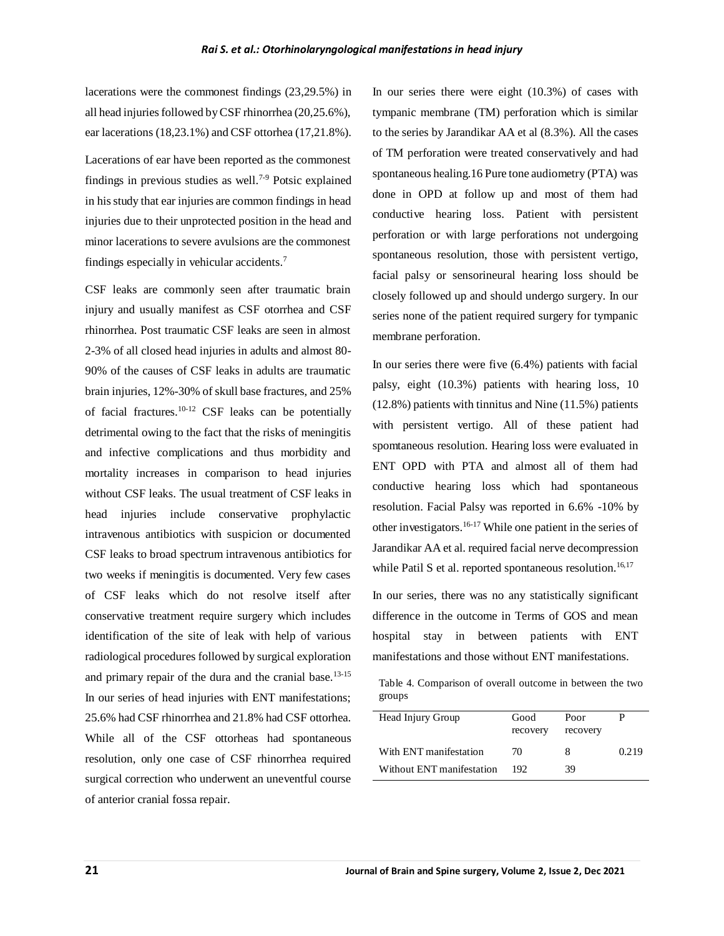lacerations were the commonest findings (23,29.5%) in all head injuries followed by CSF rhinorrhea (20,25.6%), ear lacerations (18,23.1%) and CSF ottorhea (17,21.8%).

Lacerations of ear have been reported as the commonest findings in previous studies as well.<sup>7-9</sup> Potsic explained in his study that ear injuries are common findings in head injuries due to their unprotected position in the head and minor lacerations to severe avulsions are the commonest findings especially in vehicular accidents.<sup>7</sup>

CSF leaks are commonly seen after traumatic brain injury and usually manifest as CSF otorrhea and CSF rhinorrhea. Post traumatic CSF leaks are seen in almost 2-3% of all closed head injuries in adults and almost 80- 90% of the causes of CSF leaks in adults are traumatic brain injuries, 12%-30% of skull base fractures, and 25% of facial fractures.10-12 CSF leaks can be potentially detrimental owing to the fact that the risks of meningitis and infective complications and thus morbidity and mortality increases in comparison to head injuries without CSF leaks. The usual treatment of CSF leaks in head injuries include conservative prophylactic intravenous antibiotics with suspicion or documented CSF leaks to broad spectrum intravenous antibiotics for two weeks if meningitis is documented. Very few cases of CSF leaks which do not resolve itself after conservative treatment require surgery which includes identification of the site of leak with help of various radiological procedures followed by surgical exploration and primary repair of the dura and the cranial base. $13-15$ In our series of head injuries with ENT manifestations; 25.6% had CSF rhinorrhea and 21.8% had CSF ottorhea. While all of the CSF ottorheas had spontaneous resolution, only one case of CSF rhinorrhea required surgical correction who underwent an uneventful course of anterior cranial fossa repair.

In our series there were eight (10.3%) of cases with tympanic membrane (TM) perforation which is similar to the series by Jarandikar AA et al (8.3%). All the cases of TM perforation were treated conservatively and had spontaneous healing.16 Pure tone audiometry (PTA) was done in OPD at follow up and most of them had conductive hearing loss. Patient with persistent perforation or with large perforations not undergoing spontaneous resolution, those with persistent vertigo, facial palsy or sensorineural hearing loss should be closely followed up and should undergo surgery. In our series none of the patient required surgery for tympanic membrane perforation.

In our series there were five (6.4%) patients with facial palsy, eight (10.3%) patients with hearing loss, 10 (12.8%) patients with tinnitus and Nine (11.5%) patients with persistent vertigo. All of these patient had spomtaneous resolution. Hearing loss were evaluated in ENT OPD with PTA and almost all of them had conductive hearing loss which had spontaneous resolution. Facial Palsy was reported in 6.6% -10% by other investigators.16-17 While one patient in the series of Jarandikar AA et al. required facial nerve decompression while Patil S et al. reported spontaneous resolution.<sup>16,17</sup>

In our series, there was no any statistically significant difference in the outcome in Terms of GOS and mean hospital stay in between patients with ENT manifestations and those without ENT manifestations.

Table 4. Comparison of overall outcome in between the two groups

| Good     | Poor     |       |
|----------|----------|-------|
| recovery | recovery |       |
| 70       | 8        | 0.219 |
| 192      | 39       |       |
|          |          |       |